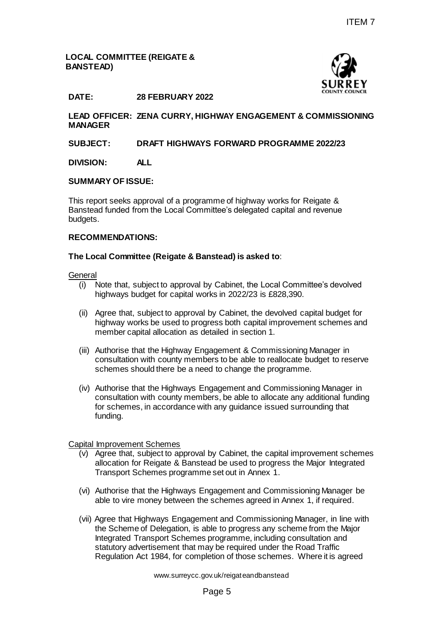## **LOCAL COMMITTEE (REIGATE & BANSTEAD)**



## **DATE: 28 FEBRUARY 2022**

**LEAD OFFICER: ZENA CURRY, HIGHWAY ENGAGEMENT & COMMISSIONING MANAGER**

### **SUBJECT: DRAFT HIGHWAYS FORWARD PROGRAMME 2022/23**

#### **DIVISION: ALL**

#### **SUMMARY OF ISSUE:**

This report seeks approval of a programme of highway works for Reigate & Banstead funded from the Local Committee's delegated capital and revenue budgets.

#### **RECOMMENDATIONS:**

#### **The Local Committee (Reigate & Banstead) is asked to**:

**General** 

- (i) Note that, subject to approval by Cabinet, the Local Committee's devolved highways budget for capital works in 2022/23 is £828,390.
- (ii) Agree that, subject to approval by Cabinet, the devolved capital budget for highway works be used to progress both capital improvement schemes and member capital allocation as detailed in section 1.
- (iii) Authorise that the Highway Engagement & Commissioning Manager in consultation with county members to be able to reallocate budget to reserve schemes should there be a need to change the programme.
- (iv) Authorise that the Highways Engagement and Commissioning Manager in consultation with county members, be able to allocate any additional funding for schemes, in accordance with any guidance issued surrounding that funding.

### Capital Improvement Schemes

- (v) Agree that, subject to approval by Cabinet, the capital improvement schemes allocation for Reigate & Banstead be used to progress the Major Integrated Transport Schemes programme set out in Annex 1.
- (vi) Authorise that the Highways Engagement and Commissioning Manager be able to vire money between the schemes agreed in Annex 1, if required.
- (vii) Agree that Highways Engagement and Commissioning Manager, in line with the Scheme of Delegation, is able to progress any scheme from the Major Integrated Transport Schemes programme, including consultation and statutory advertisement that may be required under the Road Traffic Regulation Act 1984, for completion of those schemes. Where it is agreed Page 5 ITEM 7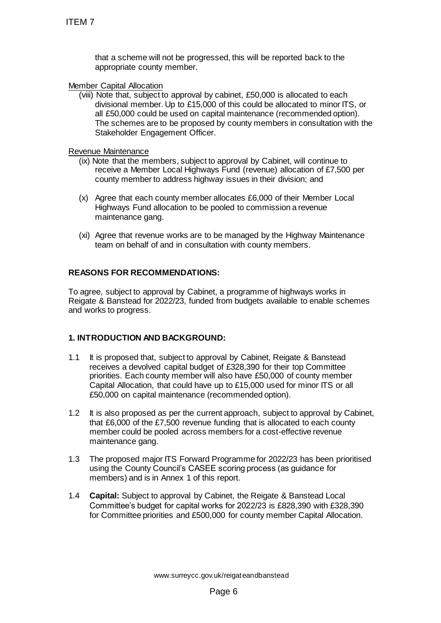that a scheme will not be progressed, this will be reported back to the appropriate county member.

### Member Capital Allocation

(viii) Note that, subject to approval by cabinet, £50,000 is allocated to each divisional member. Up to £15,000 of this could be allocated to minor ITS, or all £50,000 could be used on capital maintenance (recommended option). The schemes are to be proposed by county members in consultation with the Stakeholder Engagement Officer.

Revenue Maintenance

- (ix) Note that the members, subject to approval by Cabinet, will continue to receive a Member Local Highways Fund (revenue) allocation of £7,500 per county member to address highway issues in their division; and
- (x) Agree that each county member allocates £6,000 of their Member Local Highways Fund allocation to be pooled to commission a revenue maintenance gang.
- (xi) Agree that revenue works are to be managed by the Highway Maintenance team on behalf of and in consultation with county members.

## **REASONS FOR RECOMMENDATIONS:**

To agree, subject to approval by Cabinet, a programme of highways works in Reigate & Banstead for 2022/23, funded from budgets available to enable schemes and works to progress.

### **1. INTRODUCTION AND BACKGROUND:**

- 1.1 It is proposed that, subject to approval by Cabinet, Reigate & Banstead receives a devolved capital budget of £328,390 for their top Committee priorities. Each county member will also have £50,000 of county member Capital Allocation, that could have up to £15,000 used for minor ITS or all £50,000 on capital maintenance (recommended option). ITEM 7<br>
that a scheme will not be progressed, the appropriate countly member.<br>
Member Capital Allocation<br>
(wii) Note that, subject to approval by cabine<br>
divisional member. Up to £15,000 or this assume that<br>
all £50,000 c
- 1.2 It is also proposed as per the current approach, subject to approval by Cabinet, that £6,000 of the £7,500 revenue funding that is allocated to each county member could be pooled across members for a cost-effective revenue maintenance gang.
- 1.3 The proposed major ITS Forward Programme for 2022/23 has been prioritised using the County Council's CASEE scoring process (as guidance for members) and is in Annex 1 of this report.
- 1.4 **Capital:** Subject to approval by Cabinet, the Reigate & Banstead Local Committee's budget for capital works for 2022/23 is £828,390 with £328,390 for Committee priorities and £500,000 for county member Capital Allocation.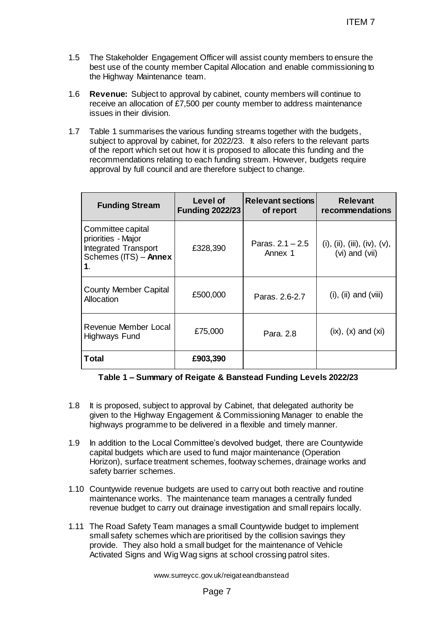- 1.5 The Stakeholder Engagement Officer will assist county members to ensure the best use of the county member Capital Allocation and enable commissioning to the Highway Maintenance team.
- 1.6 **Revenue:** Subject to approval by cabinet, county members will continue to receive an allocation of £7,500 per county member to address maintenance issues in their division.
- 1.7 Table 1 summarises the various funding streams together with the budgets, subject to approval by cabinet, for 2022/23. It also refers to the relevant parts of the report which set out how it is proposed to allocate this funding and the recommendations relating to each funding stream. However, budgets require approval by full council and are therefore subject to change.

|                                                                                                                                                                                                                                                                                                                                                                                                 |                                    |                                       | <b>ITEM7</b>                                   |  |
|-------------------------------------------------------------------------------------------------------------------------------------------------------------------------------------------------------------------------------------------------------------------------------------------------------------------------------------------------------------------------------------------------|------------------------------------|---------------------------------------|------------------------------------------------|--|
| The Stakeholder Engagement Officer will assist county members to ensure the<br>best use of the county member Capital Allocation and enable commissioning to<br>the Highway Maintenance team.<br><b>Revenue:</b> Subject to approval by cabinet, county members will continue to                                                                                                                 |                                    |                                       |                                                |  |
| receive an allocation of £7,500 per county member to address maintenance<br>issues in their division.                                                                                                                                                                                                                                                                                           |                                    |                                       |                                                |  |
| Table 1 summarises the various funding streams together with the budgets,<br>subject to approval by cabinet, for 2022/23. It also refers to the relevant parts<br>of the report which set out how it is proposed to allocate this funding and the<br>recommendations relating to each funding stream. However, budgets require<br>approval by full council and are therefore subject to change. |                                    |                                       |                                                |  |
| <b>Funding Stream</b>                                                                                                                                                                                                                                                                                                                                                                           | Level of<br><b>Funding 2022/23</b> | <b>Relevant sections</b><br>of report | <b>Relevant</b><br>recommendations             |  |
| Committee capital<br>priorities - Major<br><b>Integrated Transport</b><br>Schemes (ITS) - Annex<br>1.                                                                                                                                                                                                                                                                                           | £328,390                           | Paras, $2.1 - 2.5$<br>Annex 1         | (i), (ii), (iii), (iv), (v),<br>(vi) and (vii) |  |
| <b>County Member Capital</b><br>Allocation                                                                                                                                                                                                                                                                                                                                                      | £500,000                           | Paras, 2.6-2.7                        | $(i)$ , $(ii)$ and $(viii)$                    |  |
| Revenue Member Local<br><b>Highways Fund</b>                                                                                                                                                                                                                                                                                                                                                    | £75,000                            | Para, 2.8                             | $(ix), (x)$ and $(xi)$                         |  |
| <b>Total</b>                                                                                                                                                                                                                                                                                                                                                                                    | £903,390                           |                                       |                                                |  |
| Table 1 - Summary of Reigate & Banstead Funding Levels 2022/23<br>It is proposed, subject to approval by Cabinet, that delegated authority be<br>given to the Highway Engagement & Commissioning Manager to enable the<br>highways programme to be delivered in a flexible and timely manner.                                                                                                   |                                    |                                       |                                                |  |
| In addition to the Local Committee's devolved budget, there are Countywide<br>capital budgets which are used to fund major maintenance (Operation<br>Horizon), surface treatment schemes, footway schemes, drainage works and<br>safety barrier schemes.                                                                                                                                        |                                    |                                       |                                                |  |
| 0 Countywide revenue budgets are used to carry out both reactive and routine<br>maintenance works. The maintenance team manages a centrally funded<br>revenue budget to carry out drainage investigation and small repairs locally.                                                                                                                                                             |                                    |                                       |                                                |  |
| 1 The Road Safety Team manages a small Countywide budget to implement<br>small safety schemes which are prioritised by the collision savings they<br>provide. They also hold a small budget for the maintenance of Vehicle<br>Activated Signs and Wig Wag signs at school crossing patrol sites.                                                                                                |                                    |                                       |                                                |  |
| www.surreycc.gov.uk/reigateandbanstead                                                                                                                                                                                                                                                                                                                                                          |                                    |                                       |                                                |  |
| Page 7                                                                                                                                                                                                                                                                                                                                                                                          |                                    |                                       |                                                |  |

### **Table 1 – Summary of Reigate & Banstead Funding Levels 2022/23**

- 1.8 It is proposed, subject to approval by Cabinet, that delegated authority be given to the Highway Engagement & Commissioning Manager to enable the highways programme to be delivered in a flexible and timely manner.
- 1.9 In addition to the Local Committee's devolved budget, there are Countywide capital budgets which are used to fund major maintenance (Operation Horizon), surface treatment schemes, footway schemes, drainage works and safety barrier schemes.
- 1.10 Countywide revenue budgets are used to carry out both reactive and routine maintenance works. The maintenance team manages a centrally funded revenue budget to carry out drainage investigation and small repairs locally.
- 1.11 The Road Safety Team manages a small Countywide budget to implement small safety schemes which are prioritised by the collision savings they provide. They also hold a small budget for the maintenance of Vehicle Activated Signs and Wig Wag signs at school crossing patrol sites.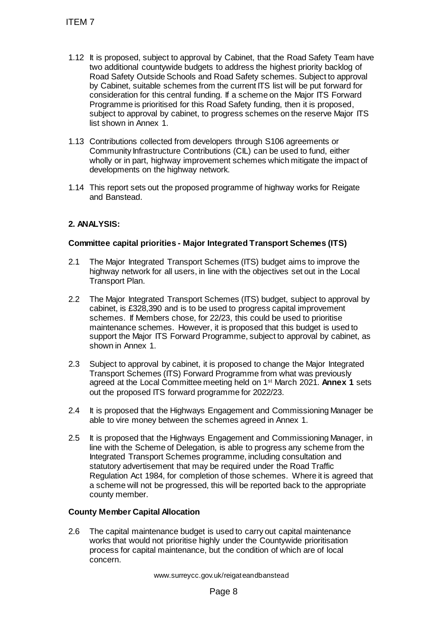- 1.12 It is proposed, subject to approval by Cabinet, that the Road Safety Team have two additional countywide budgets to address the highest priority backlog of Road Safety Outside Schools and Road Safety schemes. Subject to approval by Cabinet, suitable schemes from the current ITS list will be put forward for consideration for this central funding. If a scheme on the Major ITS Forward Programme is prioritised for this Road Safety funding, then it is proposed, subject to approval by cabinet, to progress schemes on the reserve Major ITS list shown in Annex 1. TTEM 7<br>
1.12 It is proposed, subject to approval by Cat<br>
two additional countlywide budgets to add<br>
Road Safety Outside Schools and Road So<br>
by Cabinet, sultable schemes from the consideration<br>
consideration for this centr
- 1.13 Contributions collected from developers through S106 agreements or Community Infrastructure Contributions (CIL) can be used to fund, either wholly or in part, highway improvement schemes which mitigate the impact of developments on the highway network.
- 1.14 This report sets out the proposed programme of highway works for Reigate and Banstead.

# **2. ANALYSIS:**

## **Committee capital priorities - Major Integrated Transport Schemes (ITS)**

- 2.1 The Major Integrated Transport Schemes (ITS) budget aims to improve the highway network for all users, in line with the objectives set out in the Local Transport Plan.
- 2.2 The Major Integrated Transport Schemes (ITS) budget, subject to approval by cabinet, is £328,390 and is to be used to progress capital improvement schemes. If Members chose, for 22/23, this could be used to prioritise maintenance schemes. However, it is proposed that this budget is used to support the Major ITS Forward Programme, subject to approval by cabinet, as shown in Annex 1.
- 2.3 Subject to approval by cabinet, it is proposed to change the Major Integrated Transport Schemes (ITS) Forward Programme from what was previously agreed at the Local Committee meeting held on 1st March 2021. **Annex 1** sets out the proposed ITS forward programme for 2022/23.
- 2.4 It is proposed that the Highways Engagement and Commissioning Manager be able to vire money between the schemes agreed in Annex 1.
- 2.5 It is proposed that the Highways Engagement and Commissioning Manager, in line with the Scheme of Delegation, is able to progress any scheme from the Integrated Transport Schemes programme, including consultation and statutory advertisement that may be required under the Road Traffic Regulation Act 1984, for completion of those schemes. Where it is agreed that a scheme will not be progressed, this will be reported back to the appropriate county member.

### **County Member Capital Allocation**

2.6 The capital maintenance budget is used to carry out capital maintenance works that would not prioritise highly under the Countywide prioritisation process for capital maintenance, but the condition of which are of local concern.

www.surreycc.gov.uk/reigateandbanstead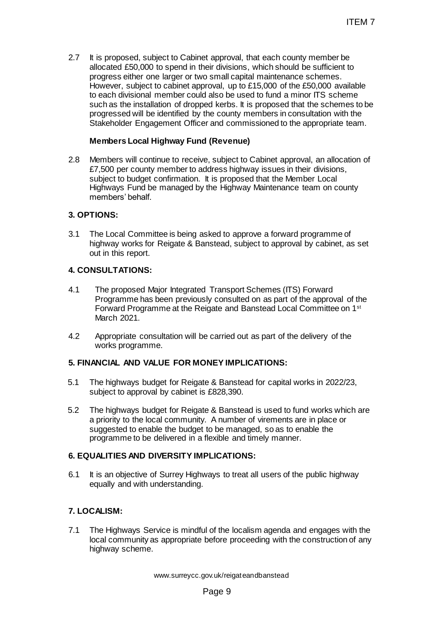2.7 It is proposed, subject to Cabinet approval, that each county member be allocated £50,000 to spend in their divisions, which should be sufficient to progress either one larger or two small capital maintenance schemes. However, subject to cabinet approval, up to £15,000 of the £50,000 available to each divisional member could also be used to fund a minor ITS scheme such as the installation of dropped kerbs. It is proposed that the schemes to be progressed will be identified by the county members in consultation with the Stakeholder Engagement Officer and commissioned to the appropriate team. ITEM 7<br>
at approval, that each county member be<br>
neir divisions, which should be sufficient to<br>
o small capital maintenance schemes.<br>
The color the £5,000 of the £50,000 oraliable<br>
di also be used to fund a minor ITS schem

### **Members Local Highway Fund (Revenue)**

2.8 Members will continue to receive, subject to Cabinet approval, an allocation of £7,500 per county member to address highway issues in their divisions, subject to budget confirmation. It is proposed that the Member Local Highways Fund be managed by the Highway Maintenance team on county members' behalf.

## **3. OPTIONS:**

3.1 The Local Committee is being asked to approve a forward programme of highway works for Reigate & Banstead, subject to approval by cabinet, as set out in this report.

## **4. CONSULTATIONS:**

- 4.1 The proposed Major Integrated Transport Schemes (ITS) Forward Programme has been previously consulted on as part of the approval of the Forward Programme at the Reigate and Banstead Local Committee on 1st March 2021.
- 4.2 Appropriate consultation will be carried out as part of the delivery of the works programme.

# **5. FINANCIAL AND VALUE FOR MONEY IMPLICATIONS:**

- 5.1 The highways budget for Reigate & Banstead for capital works in 2022/23, subject to approval by cabinet is £828,390.
- 5.2 The highways budget for Reigate & Banstead is used to fund works which are a priority to the local community. A number of virements are in place or suggested to enable the budget to be managed, so as to enable the programme to be delivered in a flexible and timely manner.

### **6. EQUALITIES AND DIVERSITY IMPLICATIONS:**

6.1 It is an objective of Surrey Highways to treat all users of the public highway equally and with understanding.

# **7. LOCALISM:**

7.1 The Highways Service is mindful of the localism agenda and engages with the local community as appropriate before proceeding with the construction of any highway scheme.